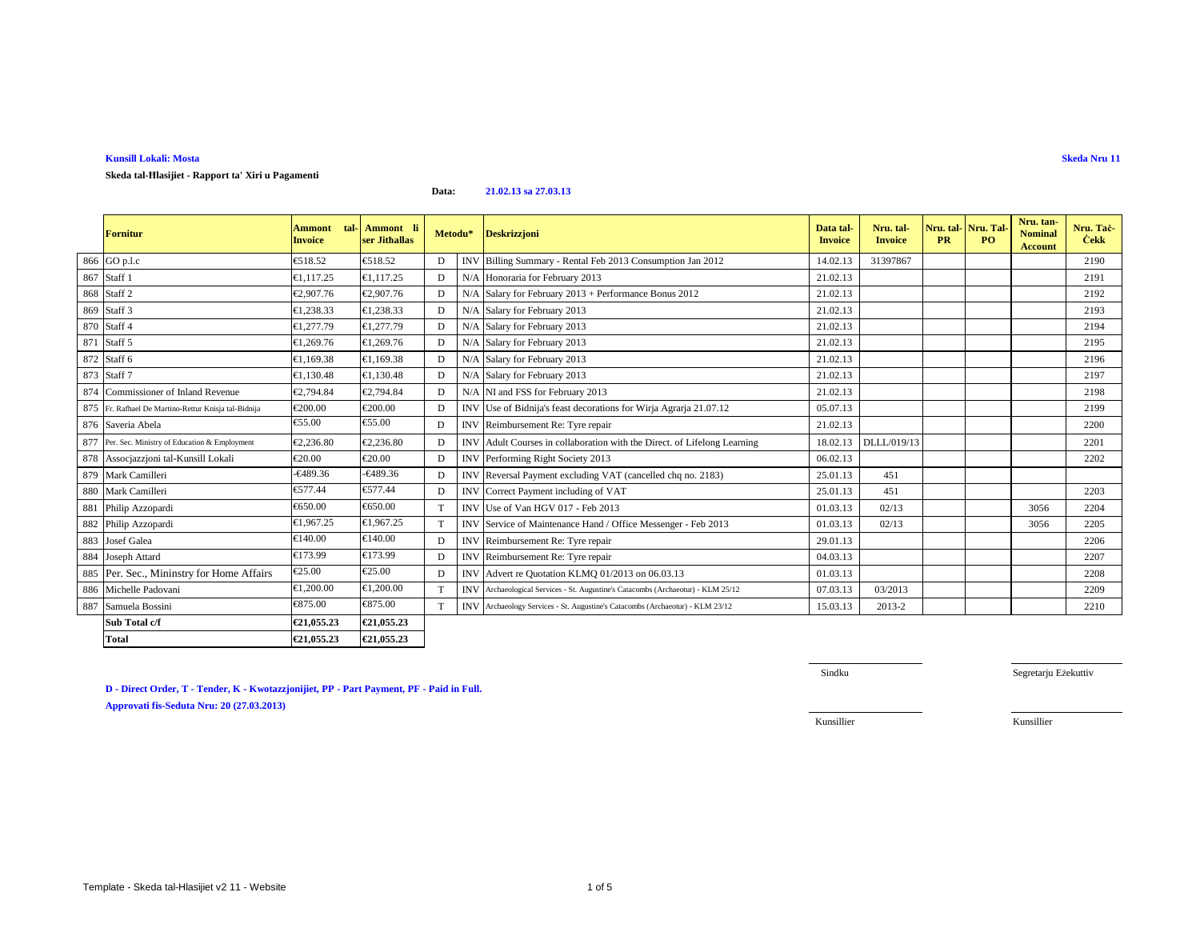### **Kunsill Lokali: Mosta**

# **Skeda tal-Ħlasijiet - Rapport ta' Xiri u Pagamenti**

**Data:21.02.13 sa 27.03.13**

|     | Fornitur                                             | <b>Ammont</b><br>tal<br><b>Invoice</b> | Ammont li<br>ser Jithallas | Metodu*         |            | <b>Deskrizzjoni</b>                                                              | Data tal-<br><b>Invoice</b> | Nru. tal-<br><b>Invoice</b> | Nru. tal Nru. Tal<br><b>PR</b> | P <sub>O</sub> | Nru. tan-<br><b>Nominal</b><br><b>Account</b> | Nru. Tač<br><b>Cekk</b> |
|-----|------------------------------------------------------|----------------------------------------|----------------------------|-----------------|------------|----------------------------------------------------------------------------------|-----------------------------|-----------------------------|--------------------------------|----------------|-----------------------------------------------|-------------------------|
|     | 866 GO p.l.c                                         | €518.52                                | €518.52                    | D               | <b>INV</b> | Billing Summary - Rend Feb 2013 Consumption Jan 2012                             | 14.02.13                    | 31397867                    |                                |                |                                               | 2190                    |
|     | 867 Staff 1                                          | €1,117.25                              | €1,117.25                  | D               |            | N/A Honoraria for February 2013                                                  | 21.02.13                    |                             |                                |                |                                               | 2191                    |
|     | 868 Staff 2                                          | €2,907.76                              | €2,907.76                  | D               |            | N/A Salary for February 2013 + Peformance Bonus 2012                             | 21.02.13                    |                             |                                |                |                                               | 2192                    |
|     | 869 Staff 3                                          | €1,238.33                              | €1,238.33                  | D               |            | N/A Salary for February 2013                                                     | 21.02.13                    |                             |                                |                |                                               | 2193                    |
|     | 870 Staff 4                                          | €1.277.79                              | €1,277.79                  | D               |            | N/A Salary for February 2013                                                     | 21.02.13                    |                             |                                |                |                                               | 2194                    |
| 871 | Staff 5                                              | €1,269.76                              | €1,269.76                  | D               |            | N/A Salary for February 2013                                                     | 21.02.13                    |                             |                                |                |                                               | 2195                    |
|     | 872 Staff 6                                          | €1,169.38                              | €1,169.38                  | D               |            | N/A Salary for February 2013                                                     | 21.02.13                    |                             |                                |                |                                               | 2196                    |
|     | 873 Staff 7                                          | €1,130.48                              | €1,130.48                  | D               |            | N/A Salary for February 2013                                                     | 21.02.13                    |                             |                                |                |                                               | 2197                    |
| 874 | Commissioner of Inland Revenue                       | €2.794.84                              | €2,794.84                  | D               |            | N/A NI and FSS for February 2013                                                 | 21.02.13                    |                             |                                |                |                                               | 2198                    |
|     | 875 Fr. Rafhael De Martino-Rettur Knisja tal-Bidnija | €200.00                                | €200.00                    | D               |            | INV Use of Bidnija's feast decoration for Wirja Agrarja 21.07.12                 | 05.07.13                    |                             |                                |                |                                               | 2199                    |
|     | 876 Saveria Abela                                    | €55.00                                 | €55.00                     | D               |            | INV Reimbursement Re: Tyre repair                                                | 21.02.13                    |                             |                                |                |                                               | 2200                    |
| 877 | Per. Sec. Ministry of Education & Employment         | €2,236.80                              | €2.236.80                  | D               | <b>INV</b> | Adult Courses in collaboration with the Direct. of Lifelong Learning             | 18.02.13                    | DLLL/019/13                 |                                |                |                                               | 2201                    |
|     | 878 Associazzioni tal-Kunsill Lokali                 | €20.00                                 | €20.00                     | D               |            | <b>INV Performing Right Society 2013</b>                                         | 06.02.13                    |                             |                                |                |                                               | 2202                    |
|     | 879 Mark Camilleri                                   | €489.36                                | $-€489.36$                 | D               |            | INV Reversal Payment excluding VAT (cancelled chq no. 2183)                      | 25.01.13                    | 451                         |                                |                |                                               |                         |
| 880 | Mark Camilleri                                       | €577.44                                | €577.44                    | D               |            | INV Correct Payment including of VAT                                             | 25.01.13                    | 451                         |                                |                |                                               | 2203                    |
|     | 881 Philip Azzopardi                                 | €650.00                                | €650.00                    |                 |            | INV Use of Van HGV 017 - Feb 2013                                                | 01.03.13                    | 02/13                       |                                |                | 3056                                          | 2204                    |
|     | 882 Philip Azzopardi                                 | €1.967.25                              | €1.967.25                  | T               |            | INV Service of Maintenance Hand / Office Messenger - Feb 2013                    | 01.03.13                    | 02/13                       |                                |                | 3056                                          | 2205                    |
|     | 883 Josef Galea                                      | €140.00                                | €140.00                    | D               |            | INV Reimbursement Re: Tyre repair                                                | 29.01.13                    |                             |                                |                |                                               | 2206                    |
|     | 884 Joseph Attard                                    | €173.99                                | €173.99                    | D               |            | INV Reimbursement Re: Tyre repair                                                | 04.03.13                    |                             |                                |                |                                               | 2207                    |
| 885 | Per. Sec., Mininstry for Home Affairs                | €25.00                                 | €25.00                     | D               |            | INV Advert re Quotation KLMQ 01/2013 on 06.03.13                                 | 01.03.13                    |                             |                                |                |                                               | 2208                    |
|     | 886 Michelle Padovani                                | €1,200.00                              | €1,200.00                  |                 |            | INV Archaeological Services - St. Augustine's Catacombs (Archaeotur) - KLM 25/12 | 07.03.13                    | 03/2013                     |                                |                |                                               | 2209                    |
| 887 | Samuela Bossini                                      | €875.00                                | €875.00                    | $^{\mathrm{T}}$ |            | INV Archaeology Services - St. Augustine's Catacombs (Archaeotur) - KLM 23/12    | 15.03.13                    | 2013-2                      |                                |                |                                               | 2210                    |
|     | Sub Total c/f                                        | €21,055.23                             | €21,055.23                 |                 |            |                                                                                  |                             |                             |                                |                |                                               |                         |
|     | Total                                                | €21,055.23                             | €21,055.23                 |                 |            |                                                                                  |                             |                             |                                |                |                                               |                         |

**D - Direct Order, T - Tender, K - Kwotazzjonijiet, PP - Part Payment, PF - Paid in Full. Approvati fis-Seduta Nru: 20 (27.03.2013)**

Sindku

Segretarju Eżekuttiv

Kunsillier Kunsillier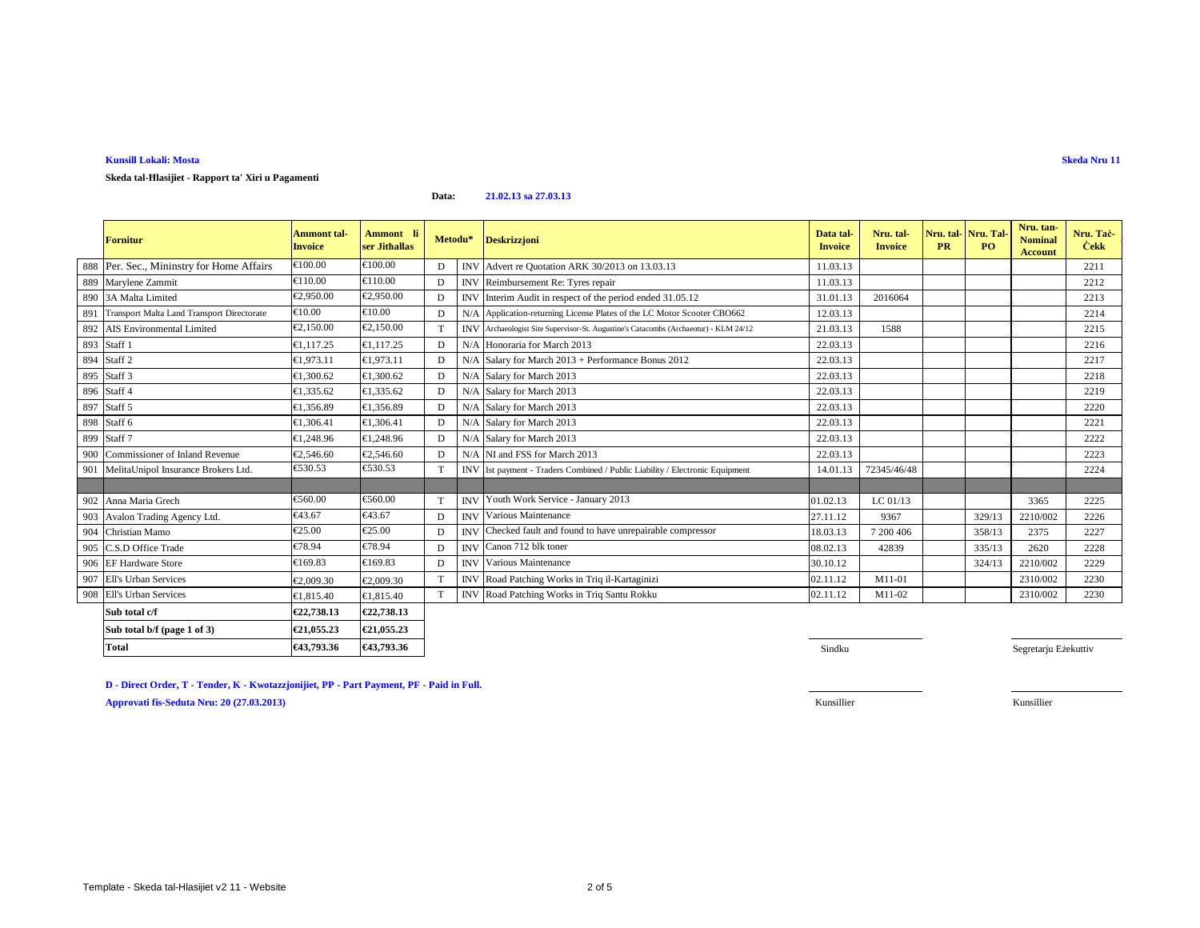### **Kunsill Lokali: Mosta**

## **Skeda tal-Ħlasijiet - Rapport ta' Xiri u Pagamenti**

#### **Data:21.02.13 sa 27.03.13**

|     | <b>Fornitur</b>                                | Ammont tal-<br><b>Invoice</b> | Ammont li<br>ser Jithallas | Metodu* |     | <b>Deskrizzjoni</b>                                                                  | Data tal-<br><b>Invoice</b> | Nru. tal-<br><b>Invoice</b> | Nru. tal-Nru. Tal<br><b>PR</b> | P <sub>O</sub> | Nru. tan-<br><b>Nominal</b><br><b>Account</b> | Nru. Taċ-<br><b>Cekk</b> |
|-----|------------------------------------------------|-------------------------------|----------------------------|---------|-----|--------------------------------------------------------------------------------------|-----------------------------|-----------------------------|--------------------------------|----------------|-----------------------------------------------|--------------------------|
|     | 888 Per. Sec., Mininstry for Home Affairs      | €100.00                       | €100.00                    |         |     | INV Advert re Quotation ARK 30/2013 on 13.03.13                                      | 11.03.13                    |                             |                                |                |                                               | 2211                     |
|     | 889 Marylene Zammit                            | €110.00                       | €110.00                    | D       |     | INV Reimbursement Re: Tyres repair                                                   | 11.03.13                    |                             |                                |                |                                               | 2212                     |
| 890 | 3A Malta Limited                               | €2.950.00                     | €2,950.00                  | D       |     | INV Interim Audit in respect of the period ended 31.05.12                            | 31.01.13                    | 2016064                     |                                |                |                                               | 2213                     |
|     | 891 Transport Malta Land Transport Directorate | €10.00                        | $\epsilon$ 10.00           | D       |     | N/A Application-returning License Plates of the LC Motor Scooter CBO662              | 12.03.13                    |                             |                                |                |                                               | 2214                     |
|     | 892 AIS Environmental Limited                  | €2,150.00                     | €2,150.00                  |         |     | INV Archaeologist Site Supervisor-St. Augustine's Catacombs (Archaeotur) - KLM 24/12 | 21.03.13                    | 1588                        |                                |                |                                               | 2215                     |
|     | 893 Staff 1                                    | €1.117.25                     | €1.117.25                  | D       | N/A | Honoraria for March 2013                                                             | 22.03.13                    |                             |                                |                |                                               | 2216                     |
|     | 894 Staff 2                                    | €1.973.11                     | €1.973.11                  | D       |     | $N/A$ Salary for March 2013 + Performance Bonus 2012                                 | 22.03.13                    |                             |                                |                |                                               | 2217                     |
| 895 | Staff 3                                        | €1,300.62                     | €1,300.62                  | D       |     | N/A Salary for March 2013                                                            | 22.03.13                    |                             |                                |                |                                               | 2218                     |
|     | 896 Staff 4                                    | €1,335.62                     | €1,335.62                  | D       |     | N/A Salary for March 2013                                                            | 22.03.13                    |                             |                                |                |                                               | 2219                     |
| 897 | Staff 5                                        | €1,356.89                     | €1,356.89                  | D       |     | N/A Salary for March 2013                                                            | 22.03.13                    |                             |                                |                |                                               | 2220                     |
| 898 | Staff 6                                        | €1,306.41                     | €1.306.41                  | D       |     | N/A Salary for March 2013                                                            | 22.03.13                    |                             |                                |                |                                               | 2221                     |
|     | 899 Staff 7                                    | €1.248.96                     | €1.248.96                  | D       |     | N/A Salary for March 2013                                                            | 22.03.13                    |                             |                                |                |                                               | 2222                     |
| 900 | Commissioner of Inland Revenue                 | €2,546.60                     | €2,546.60                  | D       |     | N/A NI and FSS for March 2013                                                        | 22.03.13                    |                             |                                |                |                                               | 2223                     |
| 901 | MelitaUnipol Insurance Brokers Ltd.            | €530.53                       | €530.53                    |         |     | INV Ist payment - Traders Combined / Public Liability / Electronic Equipment         | 14.01.13                    | 72345/46/48                 |                                |                |                                               | 2224                     |
|     |                                                |                               |                            |         |     |                                                                                      |                             |                             |                                |                |                                               |                          |
|     | 902 Anna Maria Grech                           | €560.00                       | €560.00                    | T       |     | <b>INV</b> Youth Work Service - January 2013                                         | 01.02.13                    | LC $01/13$                  |                                |                | 3365                                          | 2225                     |
| 903 | Avalon Trading Agency Ltd.                     | €43.67                        | €43.67                     | D       |     | <b>INV</b> Various Maintenance                                                       | 27.11.12                    | 9367                        |                                | 329/13         | 2210/002                                      | 2226                     |
| 904 | Christian Mamo                                 | €25.00                        | €25.00                     | D       |     | INV Checked fault and found to have unrepairable compressor                          | 18.03.13                    | 7 200 406                   |                                | 358/13         | 2375                                          | 2227                     |
| 905 | C.S.D Office Trade                             | €78.94                        | €78.94                     | D       |     | INV Canon 712 blk toner                                                              | 08.02.13                    | 42839                       |                                | 335/13         | 2620                                          | 2228                     |
| 906 | <b>EF Hardware Store</b>                       | €169.83                       | €169.83                    | D       |     | <b>INV</b> Various Maintenance                                                       | 30.10.12                    |                             |                                | 324/13         | 2210/002                                      | 2229                     |
| 907 | Ell's Urban Services                           | €2,009.30                     | €2,009.30                  | T       |     | INV Road Patching Works in Triq il-Kartaginizi                                       | 02.11.12                    | M11-01                      |                                |                | 2310/002                                      | 2230                     |
| 908 | Ell's Urban Services                           | €1,815.40                     | €1,815.40                  | T       |     | INV Road Patching Works in Triq Santu Rokku                                          | 02.11.12                    | M11-02                      |                                |                | 2310/002                                      | 2230                     |
|     | Sub total c/f                                  | €22,738.13                    | €22,738.13                 |         |     |                                                                                      |                             |                             |                                |                |                                               |                          |
|     | Sub total b/f (page 1 of 3)                    | €21,055.23                    | €21,055.23                 |         |     |                                                                                      |                             |                             |                                |                |                                               |                          |
|     | Total                                          | €43.793.36                    | €43,793.36                 |         |     |                                                                                      | Sindku                      |                             |                                |                | Segretarju Eżekuttiv                          |                          |

**D - Direct Order, T - Tender, K - Kwotazzjonijiet, PP - Part Payment, PF - Paid in Full.Approvati fis-Seduta Nru: 20 (27.03.2013)**Kunsillier Kunsillier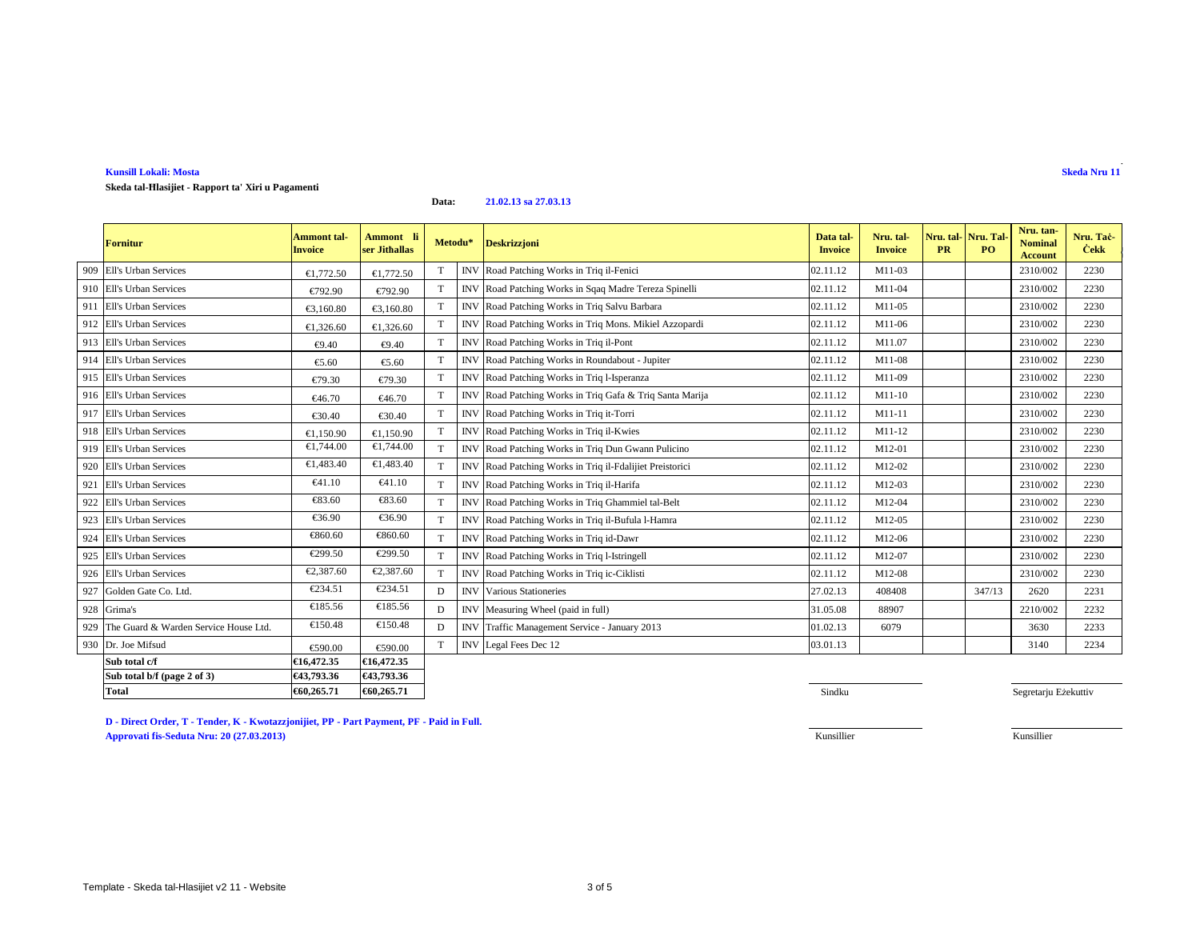Template - Skeda tal-Hlasijiet v2 11 - Website

### **Kunsill Lokali: Mosta**

# **Skeda tal-Ħlasijiet - Rapport ta' Xiri u Pagamenti**

**Data:21.02.13 sa 27.03.13**

|     | Fornitur                              | Ammont tal-<br>Invoice | Ammont li<br>ser Jithallas | Metodu* |            | <b>Deskrizzjoni</b>                                      | Data tal-<br><b>Invoice</b> | Nru. tal-<br><b>Invoice</b> | <b>PR</b> | Nru. tal Nru. Tal<br>P <sub>O</sub> | Nru. tan-<br><b>Nominal</b><br><b>Account</b> | Nru. Taċ-<br><b>Cekk</b> |
|-----|---------------------------------------|------------------------|----------------------------|---------|------------|----------------------------------------------------------|-----------------------------|-----------------------------|-----------|-------------------------------------|-----------------------------------------------|--------------------------|
| 909 | <b>Ell's Urban Services</b>           | €1,772.50              | €1,772.50                  | T       |            | INV Road Patching Works in Triq il-Fenici                | 02.11.12                    | $M11-03$                    |           |                                     | 2310/002                                      | 2230                     |
| 910 | Ell's Urban Services                  | €792.90                | €792.90                    | T       | <b>INV</b> | Road Patching Works in Sqaq Madre Tereza Spinelli        | 02.11.12                    | M11-04                      |           |                                     | 2310/002                                      | 2230                     |
| 911 | Ell's Urban Services                  | €3,160.80              | €3,160.80                  | T       | <b>INV</b> | Road Patching Works in Triq Salvu Barbara                | 02.11.12                    | M11-05                      |           |                                     | 2310/002                                      | 2230                     |
| 912 | Ell's Urban Services                  | €1,326.60              | €1,326.60                  | T       | <b>INV</b> | Road Patching Works in Triq Mons. Mikiel Azzopardi       | 02.11.12                    | M11-06                      |           |                                     | 2310/002                                      | 2230                     |
| 913 | <b>Ell's Urban Services</b>           | €9.40                  | €9.40                      | T       | <b>INV</b> | Road Patching Works in Triq il-Pont                      | 02.11.12                    | M11.07                      |           |                                     | 2310/002                                      | 2230                     |
| 914 | Ell's Urban Services                  | €5.60                  | €5.60                      | T       |            | INV Road Patching Works in Roundabout - Jupiter          | 02.11.12                    | M11-08                      |           |                                     | 2310/002                                      | 2230                     |
| 915 | Ell's Urban Services                  | €79.30                 | €79.30                     | T       | <b>INV</b> | Road Patching Works in Triq l-Isperanza                  | 02.11.12                    | M11-09                      |           |                                     | 2310/002                                      | 2230                     |
|     | 916 Ell's Urban Services              | €46.70                 | €46.70                     | T       |            | INV Road Patching Works in Triq Gafa & Triq Santa Marija | 02.11.12                    | M11-10                      |           |                                     | 2310/002                                      | 2230                     |
| 917 | Ell's Urban Services                  | €30.40                 | €30.40                     | T       | <b>INV</b> | Road Patching Works in Triq it-Torri                     | 02.11.12                    | M11-11                      |           |                                     | 2310/002                                      | 2230                     |
| 918 | Ell's Urban Services                  | €1,150.90              | €1,150.90                  | $\rm T$ |            | INV Road Patching Works in Triq il-Kwies                 | 02.11.12                    | M11-12                      |           |                                     | 2310/002                                      | 2230                     |
| 919 | Ell's Urban Services                  | €1,744.00              | €1,744.00                  | T       | <b>INV</b> | Road Patching Works in Triq Dun Gwann Pulicino           | 02.11.12                    | M12-01                      |           |                                     | 2310/002                                      | 2230                     |
| 920 | Ell's Urban Services                  | €1,483.40              | €1,483.40                  | T       | <b>INV</b> | Road Patching Works in Triq il-Fdalijiet Preistorici     | 02.11.12                    | M12-02                      |           |                                     | 2310/002                                      | 2230                     |
| 921 | Ell's Urban Services                  | $\epsilon$ 41.10       | €41.10                     | T       |            | INV Road Patching Works in Triq il-Harifa                | 02.11.12                    | M12-03                      |           |                                     | 2310/002                                      | 2230                     |
| 922 | Ell's Urban Services                  | €83.60                 | €83.60                     | T       | <b>INV</b> | Road Patching Works in Triq Ghammiel tal-Belt            | 02.11.12                    | M12-04                      |           |                                     | 2310/002                                      | 2230                     |
| 923 | Ell's Urban Services                  | €36.90                 | €36.90                     | T       |            | INV Road Patching Works in Triq il-Bufula l-Hamra        | 02.11.12                    | M12-05                      |           |                                     | 2310/002                                      | 2230                     |
| 924 | Ell's Urban Services                  | €860.60                | €860.60                    | T       | <b>INV</b> | Road Patching Works in Triq id-Dawr                      | 02.11.12                    | M12-06                      |           |                                     | 2310/002                                      | 2230                     |
| 925 | Ell's Urban Services                  | €299.50                | €299.50                    | T       | <b>INV</b> | Road Patching Works in Triq l-Istringell                 | 02.11.12                    | M12-07                      |           |                                     | 2310/002                                      | 2230                     |
| 926 | Ell's Urban Services                  | €2,387.60              | €2,387.60                  | T       | <b>INV</b> | Road Patching Works in Triq ic-Ciklisti                  | 02.11.12                    | M12-08                      |           |                                     | 2310/002                                      | 2230                     |
| 927 | Golden Gate Co. Ltd.                  | €234.51                | €234.51                    | D       |            | <b>INV</b> Various Stationeries                          | 27.02.13                    | 408408                      |           | 347/13                              | 2620                                          | 2231                     |
| 928 | Grima's                               | €185.56                | €185.56                    | D       | <b>INV</b> | Measuring Wheel (paid in full)                           | 31.05.08                    | 88907                       |           |                                     | 2210/002                                      | 2232                     |
| 929 | The Guard & Warden Service House Ltd. | €150.48                | €150.48                    | D       | <b>INV</b> | Traffic Management Service - January 2013                | 01.02.13                    | 6079                        |           |                                     | 3630                                          | 2233                     |
|     | 930 Dr. Joe Mifsud                    | €590.00                | €590.00                    | T       |            | INV Legal Fees Dec 12                                    | 03.01.13                    |                             |           |                                     | 3140                                          | 2234                     |
|     | Sub total c/f                         | €16,472.35             | €16,472.35                 |         |            |                                                          |                             |                             |           |                                     |                                               |                          |
|     | Sub total b/f (page 2 of 3)           | €43,793.36             | €43,793.36                 |         |            |                                                          |                             |                             |           |                                     |                                               |                          |
|     | Total                                 | €60,265.71             | €60,265.71                 |         |            |                                                          | Sindku                      |                             |           |                                     | Segretarju Eżekuttiv                          |                          |

**D - Direct Order, T - Tender, K - Kwotazzjonijiet, PP - Part Payment, PF - Paid in Full. Approvati fis-Seduta Nru: 20 (27.03.2013)**Kunsillier Kunsillier

# **Skeda Nru 11**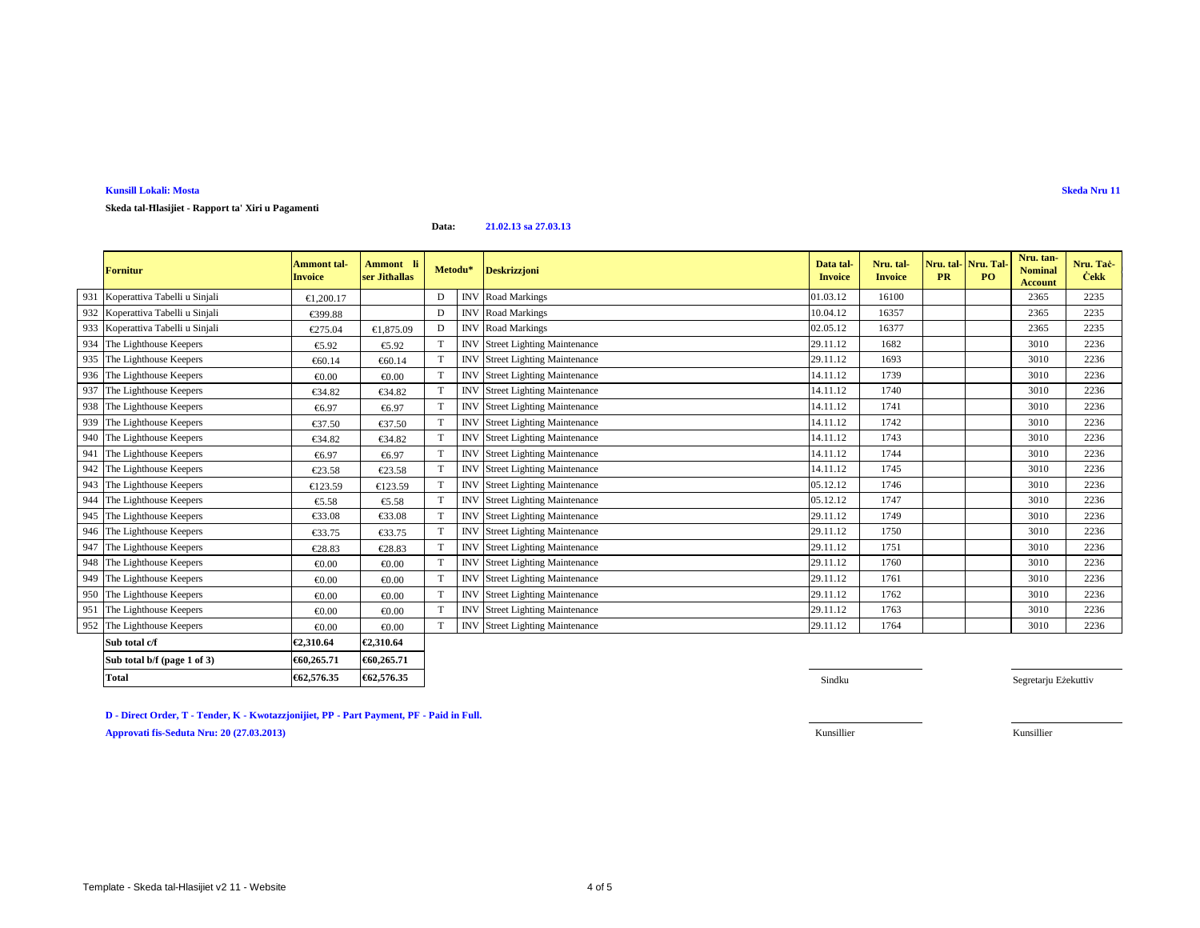**D - Direct Order, T - Tender, K - Kwotazzjonijiet, PP - Part Payment, PF - Paid in Full.**

**Total €62,576.35 €62,576.35**

**Approvati fis-Seduta Nru: 20 (27.03.2013)**

Template - Skeda tal-Hlasijiet v2 11 - Website

€62,576.35

# **Kunsill Lokali: Mosta**

**Skeda tal-Ħlasijiet - Rapport ta' Xiri u Pagamenti**

#### **Data:21.02.13 sa 27.03.13**

|     | <b>Fornitur</b>                   | <b>Ammont tal-</b><br><b>Invoice</b> | Ammont li<br>ser Jithallas | Metodu*         | <b>Deskrizzjoni</b>                    | Data tal-<br><b>Invoice</b> | Nru. tal-<br><b>Invoice</b> | Nru. tal Nru. Tal<br><b>PR</b> | P <sub>O</sub> | Nru. tan-<br><b>Nominal</b><br><b>Account</b> | Nru. Taċ-<br><b>Cekk</b> |
|-----|-----------------------------------|--------------------------------------|----------------------------|-----------------|----------------------------------------|-----------------------------|-----------------------------|--------------------------------|----------------|-----------------------------------------------|--------------------------|
| 931 | Koperattiva Tabelli u Sinjali     | €1.200.17                            |                            | D               | <b>INV</b> Road Markings               | 01.03.12                    | 16100                       |                                |                | 2365                                          | 2235                     |
|     | 932 Koperattiva Tabelli u Sinjali | €399.88                              |                            | D               | <b>INV</b> Road Markings               | 10.04.12                    | 16357                       |                                |                | 2365                                          | 2235                     |
|     | 933 Koperattiva Tabelli u Sinjali | €275.04                              | €1,875.09                  | D               | <b>INV</b> Road Markings               | 02.05.12                    | 16377                       |                                |                | 2365                                          | 2235                     |
|     | 934 The Lighthouse Keepers        | €5.92                                | €5.92                      |                 | <b>INV</b> Street Lighting Maintenance | 29.11.12                    | 1682                        |                                |                | 3010                                          | 2236                     |
|     | 935 The Lighthouse Keepers        | €60.14                               | €60.14                     |                 | <b>INV</b> Street Lighting Maintenance | 29.11.12                    | 1693                        |                                |                | 3010                                          | 2236                     |
|     | 936 The Lighthouse Keepers        | € $0.00$                             | € $0.00$                   |                 | <b>INV</b> Street Lighting Maintenance | 14.11.12                    | 1739                        |                                |                | 3010                                          | 2236                     |
| 937 | The Lighthouse Keepers            | €34.82                               | €34.82                     | T               | <b>INV</b> Street Lighting Maintenance | 14.11.12                    | 1740                        |                                |                | 3010                                          | 2236                     |
|     | 938 The Lighthouse Keepers        | €6.97                                | €6.97                      |                 | <b>INV</b> Street Lighting Maintenance | 14.11.12                    | 1741                        |                                |                | 3010                                          | 2236                     |
| 939 | The Lighthouse Keepers            | €37.50                               | €37.50                     | T               | INV Street Lighting Maintenance        | 14.11.12                    | 1742                        |                                |                | 3010                                          | 2236                     |
|     | 940 The Lighthouse Keepers        | €34.82                               | €34.82                     |                 | <b>INV</b> Street Lighting Maintenance | 14.11.12                    | 1743                        |                                |                | 3010                                          | 2236                     |
| 941 | The Lighthouse Keepers            | €6.97                                | €6.97                      | T               | <b>INV</b> Street Lighting Maintenance | 14.11.12                    | 1744                        |                                |                | 3010                                          | 2236                     |
|     | 942 The Lighthouse Keepers        | €23.58                               | €23.58                     |                 | <b>INV</b> Street Lighting Maintenance | 14.11.12                    | 1745                        |                                |                | 3010                                          | 2236                     |
| 943 | The Lighthouse Keepers            | €123.59                              | €123.59                    | T               | <b>INV</b> Street Lighting Maintenance | 05.12.12                    | 1746                        |                                |                | 3010                                          | 2236                     |
| 944 | The Lighthouse Keepers            | €5.58                                | €5.58                      |                 | <b>INV</b> Street Lighting Maintenance | 05.12.12                    | 1747                        |                                |                | 3010                                          | 2236                     |
|     | 945 The Lighthouse Keepers        | €33.08                               | €33.08                     | $^{\mathrm{T}}$ | <b>INV</b> Street Lighting Maintenance | 29.11.12                    | 1749                        |                                |                | 3010                                          | 2236                     |
|     | 946 The Lighthouse Keepers        | €33.75                               | €33.75                     |                 | <b>INV</b> Street Lighting Maintenance | 29.11.12                    | 1750                        |                                |                | 3010                                          | 2236                     |
| 947 | The Lighthouse Keepers            | €28.83                               | €28.83                     |                 | <b>INV</b> Street Lighting Maintenance | 29.11.12                    | 1751                        |                                |                | 3010                                          | 2236                     |
|     | 948 The Lighthouse Keepers        | €0.00                                | € $0.00$                   |                 | <b>INV</b> Street Lighting Maintenance | 29.11.12                    | 1760                        |                                |                | 3010                                          | 2236                     |
|     | 949 The Lighthouse Keepers        | € $0.00$                             | € $0.00$                   |                 | <b>INV</b> Street Lighting Maintenance | 29.11.12                    | 1761                        |                                |                | 3010                                          | 2236                     |
|     | 950 The Lighthouse Keepers        | €0.00                                | € $0.00$                   | T               | <b>INV</b> Street Lighting Maintenance | 29.11.12                    | 1762                        |                                |                | 3010                                          | 2236                     |
| 951 | The Lighthouse Keepers            | €0.00                                | €0.00                      |                 | <b>INV</b> Street Lighting Maintenance | 29.11.12                    | 1763                        |                                |                | 3010                                          | 2236                     |
|     | 952 The Lighthouse Keepers        | €0.00                                | € $0.00$                   |                 | <b>INV</b> Street Lighting Maintenance | 29.11.12                    | 1764                        |                                |                | 3010                                          | 2236                     |
|     | Sub total c/f                     | €2,310.64                            | €2,310.64                  |                 |                                        |                             |                             |                                |                |                                               |                          |
|     | Sub total b/f (page 1 of 3)       | €60,265.71                           | €60,265.71                 |                 |                                        |                             |                             |                                |                |                                               |                          |

 $\mathsf{S}$ indku  $\mathsf{S}$ indku  $\mathsf{S}$ indku  $\mathsf{S}$ indku  $\mathsf{S}$ indku  $\mathsf{S}$ indku  $\mathsf{S}$ indku  $\mathsf{S}$ indku  $\mathsf{S}$ indku  $\mathsf{S}$ indku  $\mathsf{S}$ indku  $\mathsf{S}$ indku  $\mathsf{S}$ indku  $\mathsf{S}$ indku  $\mathsf{S}$ indku  $\mathsf{S}$ ind Segretarju Eżekuttiv

Kunsillier Kunsillier